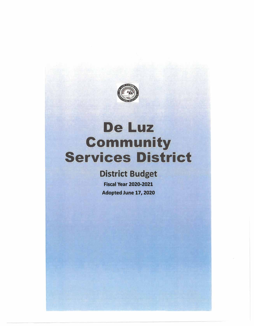

# **District Budget**

**Fiscal Year 2020-2021 Adopted June 17, 2020**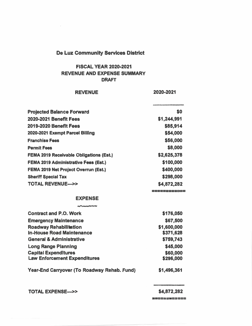#### **FISCAL YEAR 2020-2021 REVENUE AND EXPENSE SUMMARY DRAFT**

#### **REVENUE**

**2020-2021** 

| <b>Projected Balance Forward</b>               | \$0          |
|------------------------------------------------|--------------|
| <b>2020-2021 Benefit Fees</b>                  | \$1,244,991  |
| 2019-2020 Benefit Fees                         | \$85,914     |
| 2020-2021 Exempt Parcel Billing                | \$54,000     |
| <b>Franchise Fees</b>                          | \$56,000     |
| <b>Permit Fees</b>                             | \$8,000      |
| <b>FEMA 2019 Receivable Obligations (Est.)</b> | \$2,625,378  |
| <b>FEMA 2019 Administrative Fees (Est.)</b>    | \$100,000    |
| <b>FEMA 2019 Net Project Overrun (Est.)</b>    | \$400,000    |
| <b>Sheriff Special Tax</b>                     | \$298,000    |
| <b>TOTAL REVENUE---&gt;&gt;</b>                | \$4,872,282  |
|                                                | 2222222220C2 |
| <b>EXPENSE</b>                                 |              |
| <b>For the collection discussion</b>           |              |
| <b>Contract and P.O. Work</b>                  | \$176,050    |
| <b>Emergency Maintenance</b>                   | \$67,500     |
| <b>Roadway Rehabilitation</b>                  | \$1,600,000  |
| <b>In-House Road Maintenance</b>               | \$371,628    |
| <b>General &amp; Administrative</b>            | \$759,743    |
| <b>Long Range Planning</b>                     | \$45,000     |
| <b>Capital Expenditures</b>                    | \$60,000     |
| <b>Law Enforcement Expenditures</b>            | \$296,000    |
| Year-End Carryover (To Roadway Rehab. Fund)    | \$1,496,361  |

**TOTAL EXPENSE->>** 

**\$4,872,282** 

--====-=====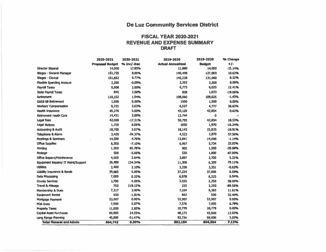#### **FISCAL YEAR 2020-2021 REVENUE AND EXPENSE SUMMARY DRAFT**

|                                     | 2020-2021              | 2020-2021  | 2019-2020                | 2019-2020     | % Change  |
|-------------------------------------|------------------------|------------|--------------------------|---------------|-----------|
|                                     | <b>Proposed Budget</b> | % Inc/-Dec | <b>Actual Annualized</b> | <b>Budget</b> | $+1-$     |
| <b>Director Stipend</b>             | 14,000                 | 17.85%     | 11,880                   | 14,000        | $-15.14%$ |
| Wages - General Manager             | 151,735                | 8.00%      | 140,496                  | 127,000       | 10.63%    |
| <b>Wages - Clerical</b>             | 151,852                | 6,77%      | 142,228                  | 131,060       | 8.52%     |
| <b>Flexible Spending Account</b>    | 2,200                  | $-0.09%$   | 2,202                    | 2,200         | 0.09%     |
| Payroll Taxes                       | 6,908                  | 2,00%      | 6,773                    | 6,025         | 12.41%    |
| <b>State Payroll Taxes</b>          | <b>B45</b>             | 2.00%      | 828                      | 1,023         | $-19.06%$ |
| <b>Retirement</b>                   | 110,152                | 1.94%      | 108,060                  | 109,625       | $-1.43%$  |
| <b>GASB 68 Retirement</b>           | 1,500                  | 0.00%      | 1500                     | 1,500         | 0.00%     |
| <b>Workers' Compensation</b>        | 6,725                  | 3.03%      | 6,527                    | 4,777         | 36.63%    |
| <b>Health Insurance</b>             | 45,276                 | 5.00%      | 43,120                   | 42,854        | 0.62%     |
| <b>Retirement Heath Care</b>        | 14,431                 | 5.00%      | 13,744                   | 0             |           |
| Legal Fees                          | 42,000                 | $-17.31%$  | 50,795                   | 42,854        | 18.53%    |
| Legal Notices                       | 1,750                  | 6.06%      | 1650                     | 1,970         | $-16.24%$ |
| <b>Accounting &amp; Audit</b>       | 18,700                 | 3.07%      | 18,143                   | 21,835        | $-16.91%$ |
| <b>Telephone &amp; Alarm</b>        | 3,420                  | $-24.37%$  | 4,522                    | 2,870         | 57.56%    |
| <b>Meetings &amp; Serninars</b>     | 14,500                 | 4.76%      | 13,841                   | 14,000        | $-1.14%$  |
| <b>Office Supplies</b>              | 6,500                  | $-7.10%$   | 6,997                    | 5,734         | 22.03%    |
| Printing                            | 1,500                  | 65.78%     | 905                      | 1,500         | $-39.68%$ |
| Postage                             | 500                    | $-5.66%$   | 530                      | 1,000         | $-47.00%$ |
| <b>Office Repairs/Maintenance</b>   | 4,000                  | 2.64%      | 3,897                    | 3,700         | 5.32%     |
| Equipment Repairs/ IT Maint/Support | 26,480                 | 134.34%    | 11,300                   | 6,309         | 79.11%    |
| <b>Utilities</b>                    | 3,400                  | 2.10%      | 3,330                    | 3,351         | $-0.63%$  |
| Liability Insurance & Bonds         | 39,085                 | 5.00%      | 37,224                   | 37,006        | 0.59%     |
| Data Processing                     | 7,000                  | 0.32%      | 6,978                    | 6,525         | 6.94%     |
| <b>County Services</b>              | 3,700                  | 4.08%      | 3,555                    | 2,250         | 58.00%    |
| <b>Travel &amp; Mileage</b>         | 750                    | 219.15%    | 235                      | 2,250         | -89.56%   |
| <b>Membership &amp; Dues</b>        | 7,317                  | 3.00%      | 7,104                    | 6,365         | 11.61%    |
| <b>Equipment Rental</b>             | 650                    | $-1.81%$   | 662                      | 500           | 32.40%    |
| Mortgage Payment                    | 53,907                 | 0.00%      | 53,907                   | 53,907        | 0.00%     |
| <b>POA Dues</b>                     | 7,960                  | 5.07%      | 7,576                    | 7,095         | 6.78%     |
| <b>Property Taxes</b>               | 11,000                 | 2.05%      | 10,779                   | 10,779        | 0.00%     |
| <b>Capital Asset Purchases</b>      | 60,000                 | 24.55%     | 48,173                   | 43,000        | 12.03%    |
| Long Range Planning                 | 45,000                 | $-51.47%$  | 92,724                   | 90,000        | 3.03%     |
| <b>Total General and Admin</b>      | 864,743                | 0.30%      | 862,184                  | 804,864       | 7.12%     |